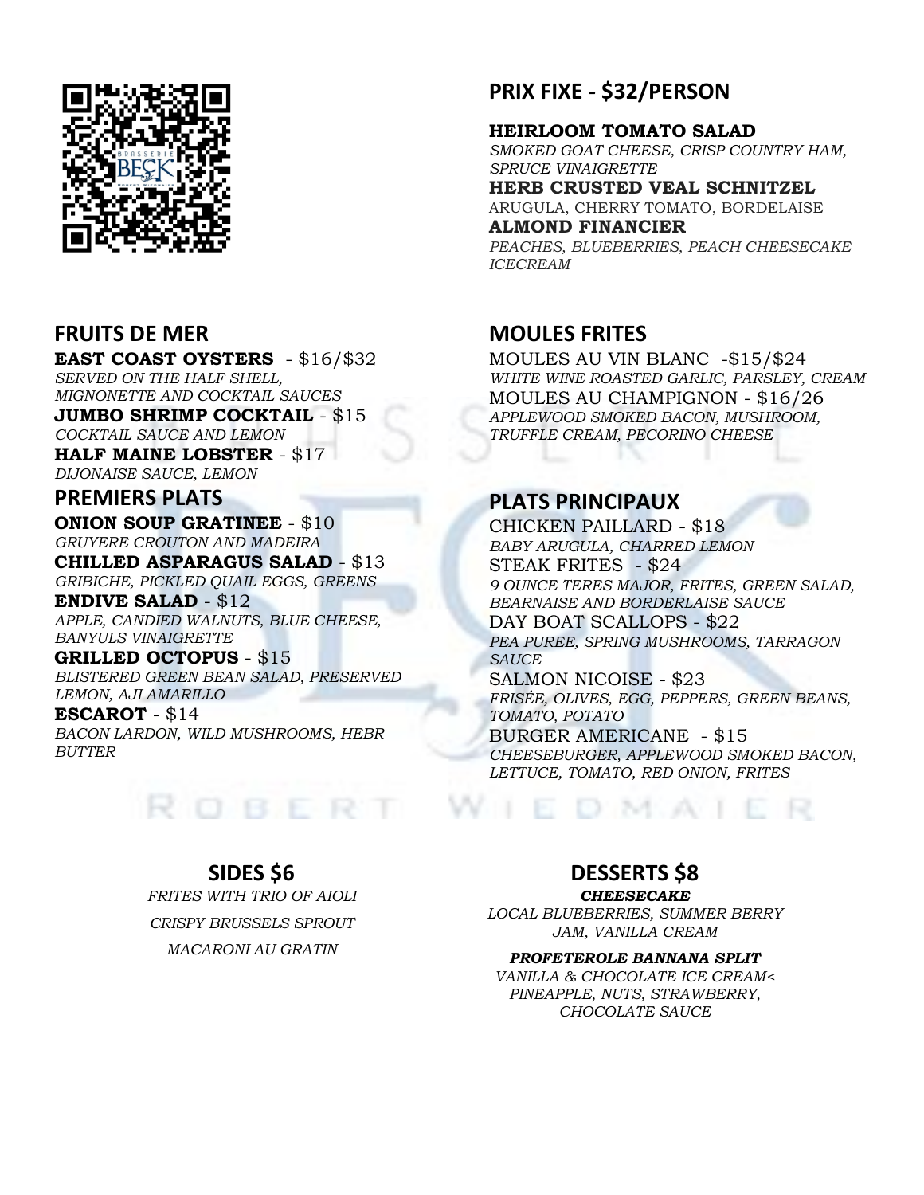

#### **FRUITS DE MER**

**EAST COAST OYSTERS** - \$16/\$32 *SERVED ON THE HALF SHELL, MIGNONETTE AND COCKTAIL SAUCES* **JUMBO SHRIMP COCKTAIL** - \$15 *COCKTAIL SAUCE AND LEMON* **HALF MAINE LOBSTER** - \$17 *DIJONAISE SAUCE, LEMON*

**PREMIERS PLATS ONION SOUP GRATINEE** - \$10 *GRUYERE CROUTON AND MADEIRA*

**CHILLED ASPARAGUS SALAD** - \$13 *GRIBICHE, PICKLED QUAIL EGGS, GREENS*

**ENDIVE SALAD** - \$12 *APPLE, CANDIED WALNUTS, BLUE CHEESE, BANYULS VINAIGRETTE*

**GRILLED OCTOPUS** - \$15 *BLISTERED GREEN BEAN SALAD, PRESERVED* 

*LEMON, AJI AMARILLO* **ESCAROT** - \$14 *BACON LARDON, WILD MUSHROOMS, HEBR BUTTER*



### **PRIX FIXE - \$32/PERSON**

#### **HEIRLOOM TOMATO SALAD**

*SMOKED GOAT CHEESE, CRISP COUNTRY HAM, SPRUCE VINAIGRETTE*

**HERB CRUSTED VEAL SCHNITZEL** ARUGULA, CHERRY TOMATO, BORDELAISE

**ALMOND FINANCIER**

*PEACHES, BLUEBERRIES, PEACH CHEESECAKE ICECREAM*

#### **MOULES FRITES**

MOULES AU VIN BLANC -\$15/\$24 *WHITE WINE ROASTED GARLIC, PARSLEY, CREAM* MOULES AU CHAMPIGNON - \$16/26 *APPLEWOOD SMOKED BACON, MUSHROOM, TRUFFLE CREAM, PECORINO CHEESE*

#### **PLATS PRINCIPAUX**

CHICKEN PAILLARD - \$18 *BABY ARUGULA, CHARRED LEMON* STEAK FRITES - \$24 *9 OUNCE TERES MAJOR, FRITES, GREEN SALAD, BEARNAISE AND BORDERLAISE SAUCE* DAY BOAT SCALLOPS - \$22 *PEA PUREE, SPRING MUSHROOMS, TARRAGON SAUCE* SALMON NICOISE - \$23 *FRISÉE, OLIVES, EGG, PEPPERS, GREEN BEANS, TOMATO, POTATO* BURGER AMERICANE - \$15 *CHEESEBURGER, APPLEWOOD SMOKED BACON, LETTUCE, TOMATO, RED ONION, FRITES*

DMAILR

#### **SIDES \$6**

*FRITES WITH TRIO OF AIOLI CRISPY BRUSSELS SPROUT MACARONI AU GRATIN*

#### **DESSERTS \$8**

*CHEESECAKE*

*LOCAL BLUEBERRIES, SUMMER BERRY JAM, VANILLA CREAM*

#### *PROFETEROLE BANNANA SPLIT*

*VANILLA & CHOCOLATE ICE CREAM< PINEAPPLE, NUTS, STRAWBERRY, CHOCOLATE SAUCE*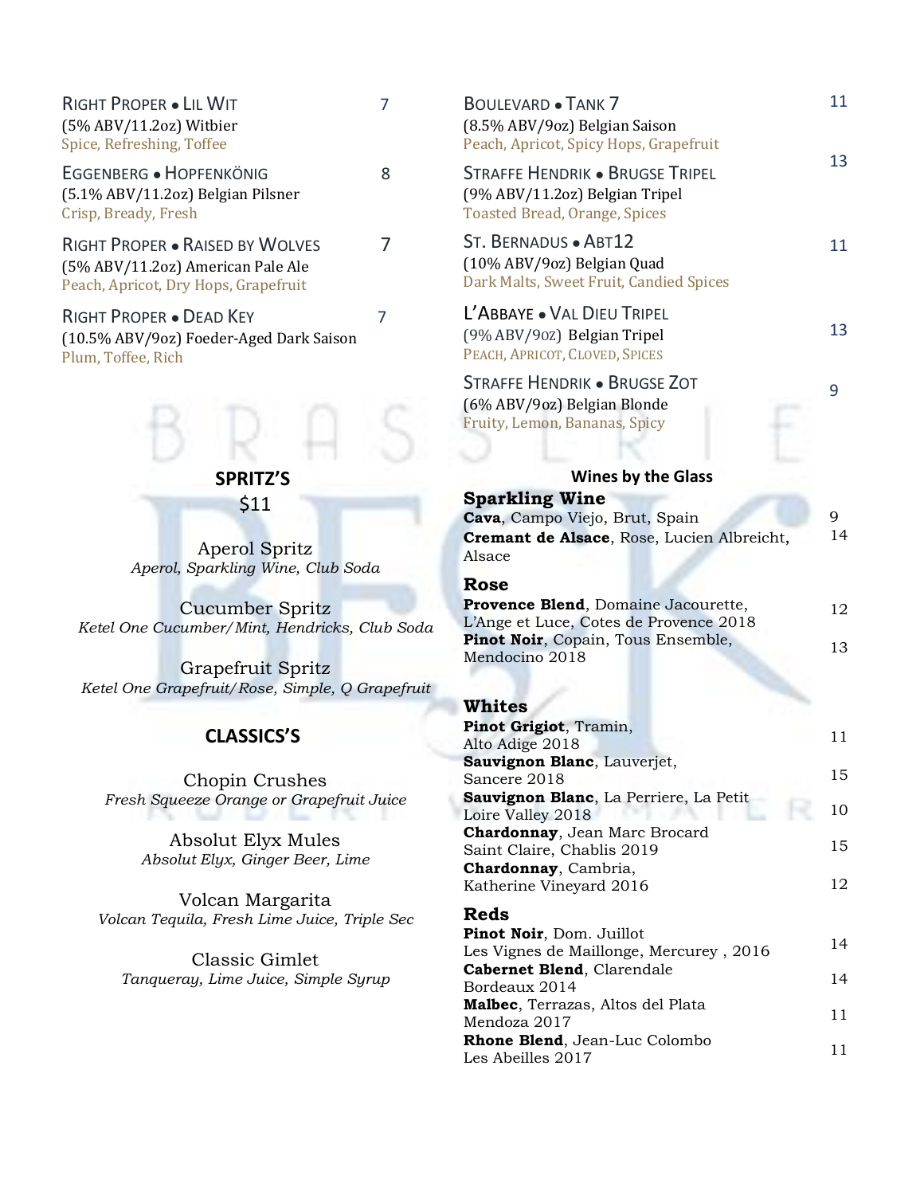| RIGHT PROPER . LIL WIT<br>(5% ABV/11.2oz) Witbier<br>Spice, Refreshing, Toffee                               | 7 | Вc<br>(8.<br>Pe                            |
|--------------------------------------------------------------------------------------------------------------|---|--------------------------------------------|
| EGGENBERG · HOPFENKÖNIG<br>(5.1% ABV/11.2oz) Belgian Pilsner<br>Crisp, Bready, Fresh                         | 8 | Sт<br>(9 <sup>0</sup> )<br>To              |
| RIGHT PROPER . RAISED BY WOLVES<br>(5% ABV/11.2oz) American Pale Ale<br>Peach, Apricot, Dry Hops, Grapefruit | 7 | S <sub>T</sub><br>(10<br>Da                |
| RIGHT PROPER . DEAD KEY<br>(10.5% ABV/9oz) Foeder-Aged Dark Saison<br>Plum, Toffee, Rich                     | 7 | Ľ,<br>(9 <sup>0</sup> )<br>P <sub>E</sub>  |
|                                                                                                              |   | S <sub>T</sub><br>(6 <sup>0</sup> )<br>Fru |
| <b>SPRITZ'S</b>                                                                                              |   |                                            |
| \$11                                                                                                         |   | Sı                                         |
| Aperol Spritz<br>Aperol, Sparkling Wine, Club Soda                                                           |   | Ca<br>cr<br>Als<br>R                       |
| Cucumber Spritz<br>Ketel One Cucumber/Mint, Hendricks, Club Soda                                             |   | Pr<br>$L$ 'A<br>Pi                         |
| Grapefruit Spritz<br>Ketel One Grapefruit/Rose, Simple, Q Grapefruit                                         |   | $M\epsilon$<br>W                           |
| <b>CLASSICS'S</b>                                                                                            |   | Pi<br>Alt<br>Sa                            |
| Chopin Crushes<br>Fresh Squeeze Orange or Grapefruit Juice                                                   |   | Sa<br>Sa<br>Lo                             |
| Absolut Elyx Mules<br>Absolut Elyx, Ginger Beer, Lime                                                        |   | $ch$<br>Sa<br>$\mathbf{C}\mathbf{h}$       |
| Volcan Margarita<br>Volcan Tequila, Fresh Lime Juice, Triple Sec                                             |   | Ka<br>R)<br>Pi                             |
| Classic Gimlet<br>Tanqueray, Lime Juice, Simple Syrup                                                        |   | Le<br>Ca<br>Bo<br>Mι<br>Μe<br>Rŀ<br>Le     |
|                                                                                                              |   |                                            |

| <b>BOULEVARD . TANK 7</b><br>(8.5% ABV/9oz) Belgian Saison<br>Peach, Apricot, Spicy Hops, Grapefruit            | 11      |
|-----------------------------------------------------------------------------------------------------------------|---------|
| Straffe Hendrik • Brugse Tripel<br>(9% ABV/11.2oz) Belgian Tripel<br><b>Toasted Bread, Orange, Spices</b>       | 13      |
| ST. BERNADUS · ABT12<br>(10% ABV/9oz) Belgian Quad<br>Dark Malts, Sweet Fruit, Candied Spices                   | 11      |
| L'ABBAYE . VAL DIEU TRIPEL<br>(9% ABV/90Z) Belgian Tripel<br>PEACH, APRICOT, CLOVED, SPICES                     | 13      |
| Straffe Hendrik • Brugse Zot<br>(6% ABV/9oz) Belgian Blonde<br>Fruity, Lemon, Bananas, Spicy                    | 9       |
|                                                                                                                 |         |
| <b>Wines by the Glass</b>                                                                                       |         |
| <b>Sparkling Wine</b><br>Cava, Campo Viejo, Brut, Spain<br>Cremant de Alsace, Rose, Lucien Albreicht,<br>Alsace | 9<br>14 |
| Rose                                                                                                            |         |
| Provence Blend, Domaine Jacourette,                                                                             | 12      |
| L'Ange et Luce, Cotes de Provence 2018<br>Pinot Noir, Copain, Tous Ensemble,<br>Mendocino 2018                  | 13      |
|                                                                                                                 |         |
| Whites<br>Pinot Grigiot, Tramin,<br>Alto Adige 2018                                                             | 11      |
| Sauvignon Blanc, Lauverjet,<br>Sancere 2018                                                                     | 15      |
| Sauvignon Blanc, La Perriere, La Petit<br>Loire Valley 2018                                                     | 10      |
| Chardonnay, Jean Marc Brocard<br>Saint Claire, Chablis 2019                                                     | 15      |
| Chardonnay, Cambria,<br>Katherine Vineyard 2016                                                                 | 12      |
| Reds                                                                                                            |         |
| Pinot Noir, Dom. Juillot<br>Les Vignes de Maillonge, Mercurey, 2016                                             | 14      |
| Cabernet Blend, Clarendale<br>Bordeaux 2014                                                                     | 14      |
| Malbec, Terrazas, Altos del Plata<br>Mendoza 2017                                                               | 11      |
| Rhone Blend, Jean-Luc Colombo<br>Les Abeilles 2017                                                              | 11      |
|                                                                                                                 |         |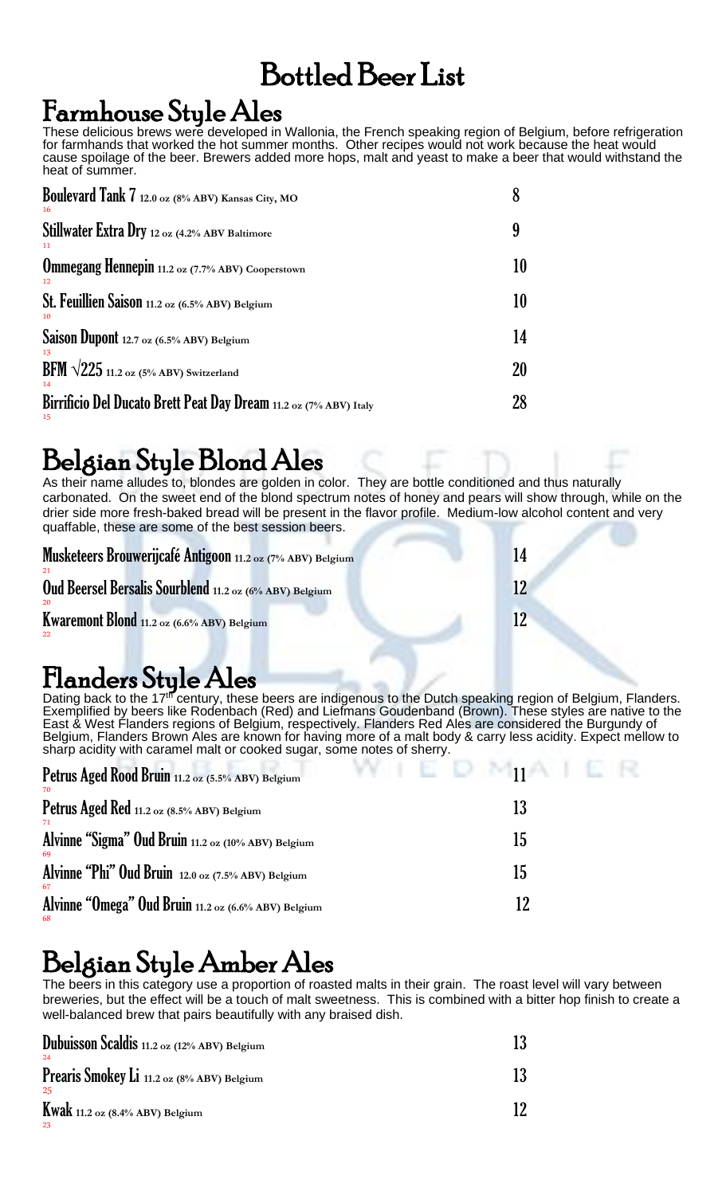### Bottled Beer List

### Farmhouse Style Ales

These delicious brews were developed in Wallonia, the French speaking region of Belgium, before refrigeration for farmhands that worked the hot summer months. Other recipes would not work because the heat would cause spoilage of the beer. Brewers added more hops, malt and yeast to make a beer that would withstand the heat of summer.

| Boulevard Tank 7 12.0 oz (8% ABV) Kansas City, MO                       |    |
|-------------------------------------------------------------------------|----|
| Stillwater Extra Dry 12 oz (4.2% ABV Baltimore                          | q  |
| <b>Ommegang Hennepin</b> 11.2 oz (7.7% ABV) Cooperstown                 | 10 |
| St. Feuillien Saison 11.2 oz (6.5% ABV) Belgium                         | 10 |
| Saison Dupont 12.7 oz (6.5% ABV) Belgium                                | 14 |
| BFM $\sqrt{225}$ 11.2 oz (5% ABV) Switzerland                           | 20 |
| Birrificio Del Ducato Brett Peat Day Dream 11.2 oz (7% ABV) Italy<br>15 | 28 |

### Belgian Style Blond Ales

As their name alludes to, blondes are golden in color. They are bottle conditioned and thus naturally carbonated. On the sweet end of the blond spectrum notes of honey and pears will show through, while on the drier side more fresh-baked bread will be present in the flavor profile. Medium-low alcohol content and very quaffable, these are some of the best session beers.

| Musketeers Brouwerijcafé Antigoon 11.2 oz (7% ABV) Belgium     | 14 |
|----------------------------------------------------------------|----|
| Oud Beersel Bersalis Sourblend 11.2 oz (6% ABV) Belgium<br>-20 |    |
| <b>Kwaremont Blond</b> $_{11.2 \text{ oz}}$ (6.6% ABV) Belgium |    |

### Flanders Style Ales

Dating back to the 17<sup>th</sup> century, these beers are indigenous to the Dutch speaking region of Belgium, Flanders. Exemplified by beers like Rodenbach (Red) and Liefmans Goudenband (Brown). These styles are native to the East & West Flanders regions of Belgium, respectively. Flanders Red Ales are considered the Burgundy of Belgium, Flanders Brown Ales are known for having more of a malt body & carry less acidity. Expect mellow to sharp acidity with caramel malt or cooked sugar, some notes of sherry.

| Petrus Aged Rood Bruin 11.2 oz (5.5% ABV) Belgium<br>-70   | $\mathbb{E} \quad \mathbb{D} \quad \mathbb{M}$<br>and the Pe |
|------------------------------------------------------------|--------------------------------------------------------------|
| Petrus Aged Red 11.2 oz (8.5% ABV) Belgium                 | 13                                                           |
| Alvinne "Sigma" Oud Bruin 11.2 oz (10% ABV) Belgium<br>-69 | 15                                                           |
| Alvinne "Phi" Oud Bruin 12.0 oz (7.5% ABV) Belgium<br>67   | 15                                                           |
| Alvinne "Omega" Oud Bruin 11.2 oz (6.6% ABV) Belgium       | 12                                                           |

### Belgian Style Amber Ales

The beers in this category use a proportion of roasted malts in their grain. The roast level will vary between breweries, but the effect will be a touch of malt sweetness. This is combined with a bitter hop finish to create a well-balanced brew that pairs beautifully with any braised dish.

| Dubuisson Scaldis 11.2 oz (12% ABV) Belgium<br>24 |  |
|---------------------------------------------------|--|
| Prearis Smokey Li 11.2 oz (8% ABV) Belgium<br>-25 |  |
| <b>Kwak</b> 11.2 oz $(8.4\%$ ABV) Belgium<br>-23  |  |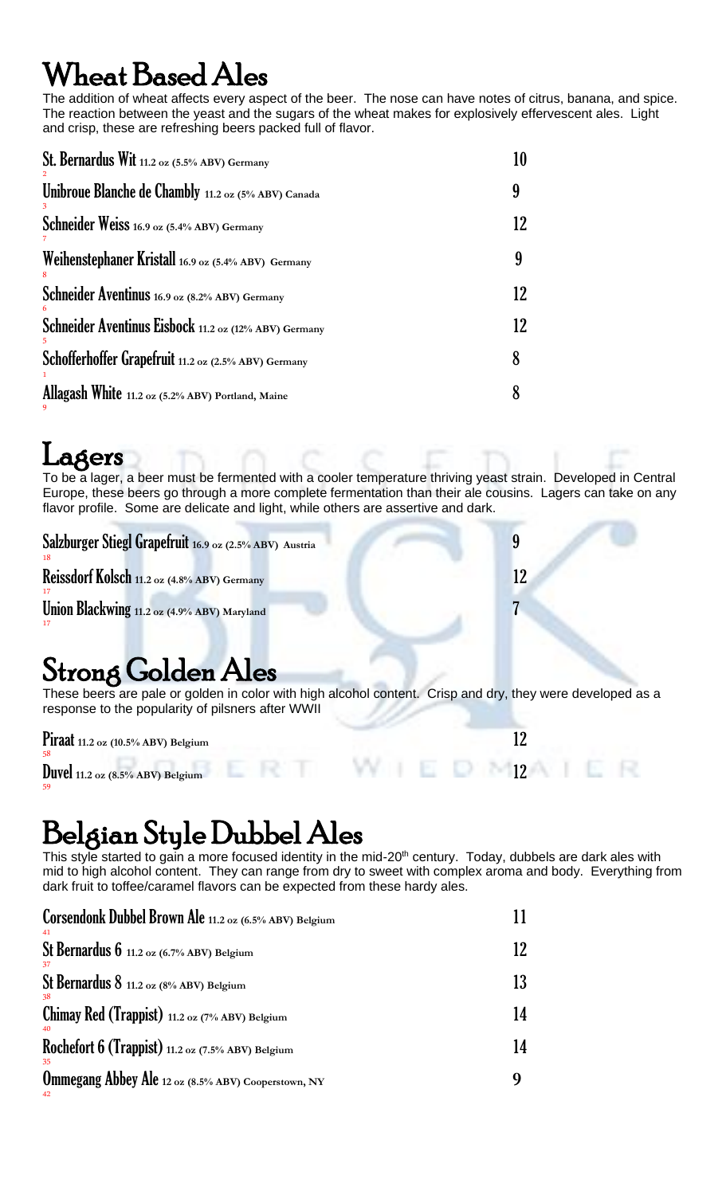## ${\rm \,H}$ eat  ${\rm \,Based \,Ales}$

The addition of wheat affects every aspect of the beer. The nose can have notes of citrus, banana, and spice. The reaction between the yeast and the sugars of the wheat makes for explosively effervescent ales. Light and crisp, these are refreshing beers packed full of flavor.

| St. Bernardus Wit 11.2 oz (5.5% ABV) Germany          | 10 |
|-------------------------------------------------------|----|
| Unibroue Blanche de Chambly 11.2 oz (5% ABV) Canada   | 9  |
| Schneider Weiss 16.9 oz (5.4% ABV) Germany            | 12 |
| Weihenstephaner Kristall 16.9 oz (5.4% ABV) Germany   | 9  |
| Schneider Aventinus 16.9 oz (8.2% ABV) Germany        | 12 |
| Schneider Aventinus Eisbock 11.2 oz (12% ABV) Germany | 12 |
| Schofferhoffer Grapefruit 11.2 oz (2.5% ABV) Germany  | 8  |
| Allagash White 11.2 oz (5.2% ABV) Portland, Maine     | 8  |

### Lagers

59

To be a lager, a beer must be fermented with a cooler temperature thriving yeast strain. Developed in Central Europe, these beers go through a more complete fermentation than their ale cousins. Lagers can take on any flavor profile. Some are delicate and light, while others are assertive and dark.

| Salzburger Stiegl Grapefruit 16.9 oz (2.5% ABV) Austria                                                                                                         |    |
|-----------------------------------------------------------------------------------------------------------------------------------------------------------------|----|
| Reissdorf Kolsch 11.2 oz (4.8% ABV) Germany                                                                                                                     | 12 |
| Union Blackwing 11.2 oz (4.9% ABV) Maryland                                                                                                                     |    |
| <b>Strong Golden Ales</b>                                                                                                                                       |    |
| These beers are pale or golden in color with high alcohol content. Crisp and dry, they were developed as a<br>response to the popularity of pilsners after WWII |    |

| Piraat $11.2$ oz $(10.5\% \text{ ABV})$ Belgium |  |
|-------------------------------------------------|--|
| Duvel $11.2$ oz $(8.5\% \text{ ABV})$ Belgium   |  |

### Belgian Style Dubbel Ales

This style started to gain a more focused identity in the mid-20<sup>th</sup> century. Today, dubbels are dark ales with mid to high alcohol content. They can range from dry to sweet with complex aroma and body. Everything from dark fruit to toffee/caramel flavors can be expected from these hardy ales.

| Corsendonk Dubbel Brown Ale 11.2 oz (6.5% ABV) Belgium           |    |
|------------------------------------------------------------------|----|
| St Bernardus $6$ 11.2 oz $(6.7\% \text{ ABV})$ Belgium<br>-37    |    |
| St Bernardus $8$ 11.2 oz (8% ABV) Belgium                        | 13 |
| Chimay Red (Trappist) $11.2$ oz (7% ABV) Belgium                 | 14 |
| Rochefort 6 (Trappist) $11.2$ oz (7.5% ABV) Belgium<br>-35       | 14 |
| <b>Ommegang Abbey Ale 12 oz (8.5% ABV) Cooperstown, NY</b><br>42 | g  |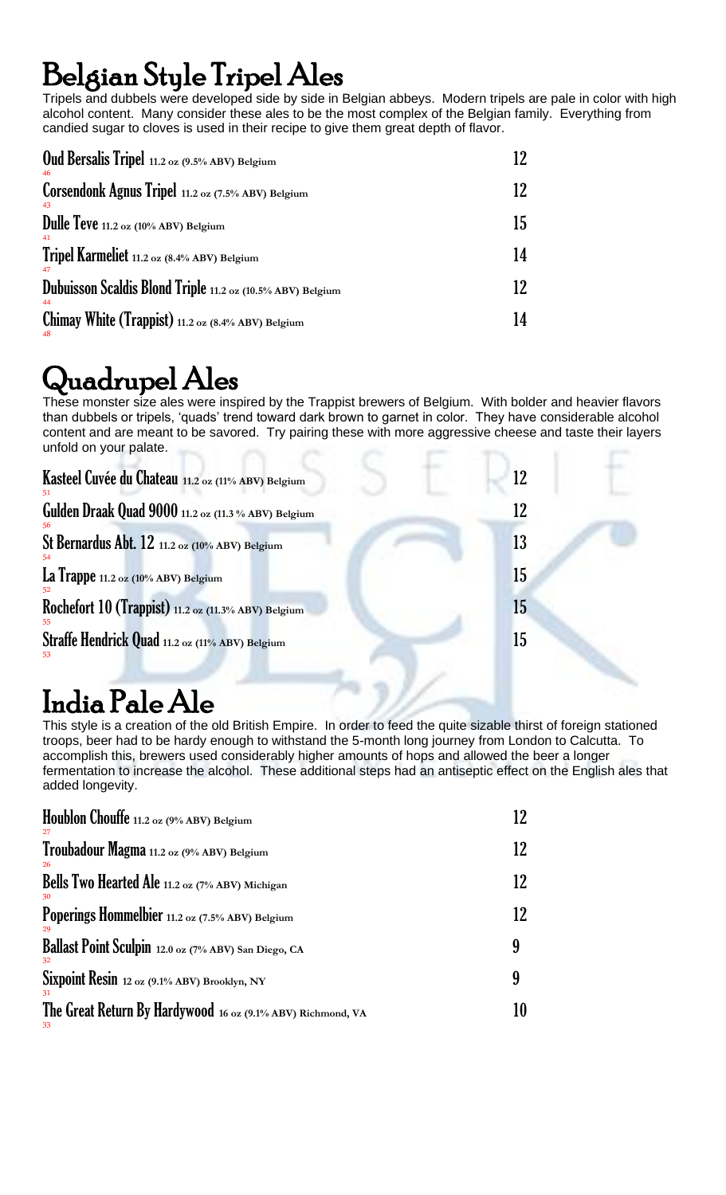## Belgian Style Tripel Ales

Tripels and dubbels were developed side by side in Belgian abbeys. Modern tripels are pale in color with high alcohol content. Many consider these ales to be the most complex of the Belgian family. Everything from candied sugar to cloves is used in their recipe to give them great depth of flavor.

| <b>Oud Bersalis Tripel</b> 11.2 oz (9.5% ABV) Belgium            |     |
|------------------------------------------------------------------|-----|
| Corsendonk Agnus Tripel 11.2 oz (7.5% ABV) Belgium<br>43         | 12. |
| Dulle Teve 11.2 oz (10% ABV) Belgium<br>41                       | 15  |
| Tripel Karmeliet 11.2 oz (8.4% ABV) Belgium<br>47                | 14  |
| Dubuisson Scaldis Blond Triple 11.2 oz (10.5% ABV) Belgium<br>44 | 12  |
| Chimay White (Trappist) 11.2 oz $(8.4%ABV)$ Belgium              | 14  |

## Quadrupel Ales

These monster size ales were inspired by the Trappist brewers of Belgium. With bolder and heavier flavors than dubbels or tripels, 'quads' trend toward dark brown to garnet in color. They have considerable alcohol content and are meant to be savored. Try pairing these with more aggressive cheese and taste their layers unfold on your palate.

| Kasteel Cuvée du Chateau 11.2 oz (11% ABV) Belgium  | 12 |
|-----------------------------------------------------|----|
| Gulden Draak Quad 9000 11.2 oz (11.3 % ABV) Belgium | 12 |
| St Bernardus Abt. 12 11.2 oz (10% ABV) Belgium      | 13 |
| La Trappe 11.2 oz (10% ABV) Belgium                 | 15 |
| Rochefort 10 (Trappist) 11.2 oz (11.3% ABV) Belgium | 15 |
| Straffe Hendrick Quad 11.2 oz (11% ABV) Belgium     | 15 |
|                                                     |    |

## India Pale Ale

This style is a creation of the old British Empire. In order to feed the quite sizable thirst of foreign stationed troops, beer had to be hardy enough to withstand the 5-month long journey from London to Calcutta. To accomplish this, brewers used considerably higher amounts of hops and allowed the beer a longer fermentation to increase the alcohol. These additional steps had an antiseptic effect on the English ales that added longevity.

| Houblon Chouffe 11.2 oz (9% ABV) Belgium                          | 12 |
|-------------------------------------------------------------------|----|
| Troubadour Magma 11.2 oz (9% ABV) Belgium<br>26                   | 12 |
| Bells Two Hearted Ale 11.2 oz (7% ABV) Michigan                   | 12 |
| Poperings Hommelbier 11.2 oz (7.5% ABV) Belgium                   | 12 |
| Ballast Point Sculpin 12.0 oz (7% ABV) San Diego, CA              | 9  |
| Sixpoint Resin 12 oz (9.1% ABV) Brooklyn, NY<br>31                | 9  |
| The Great Return By Hardywood 16 oz (9.1% ABV) Richmond, VA<br>33 |    |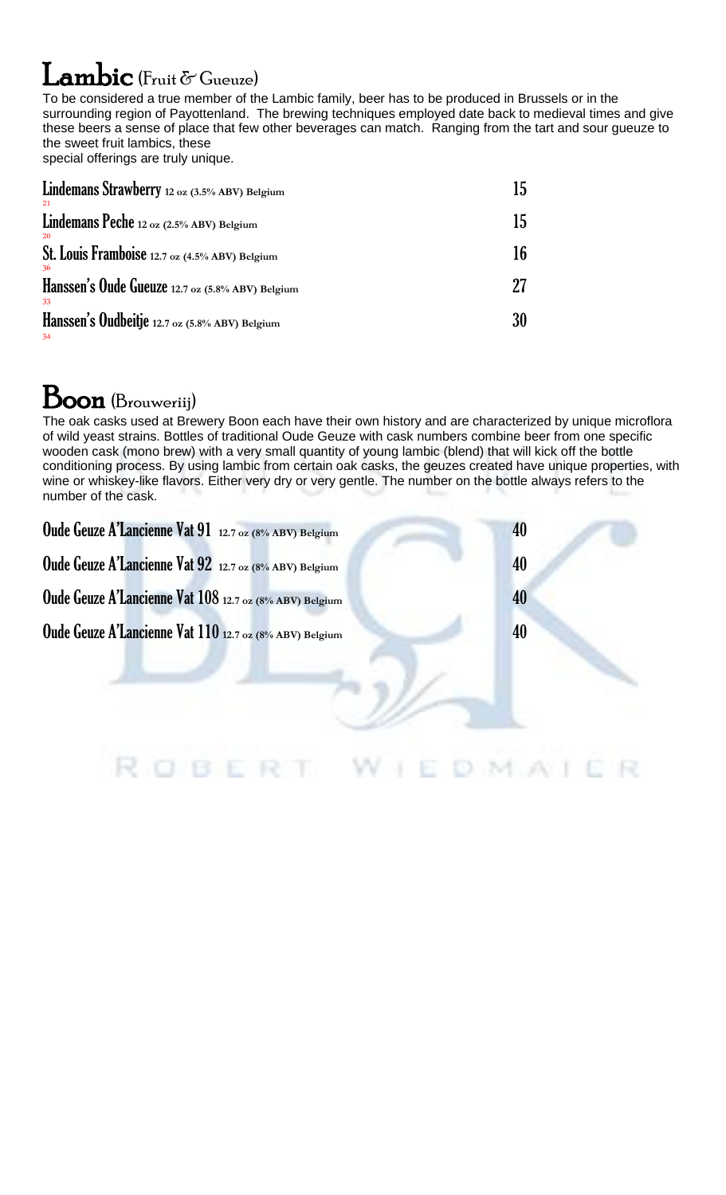### $I$  ambic (Fruit  $\delta$  Gueuze)

To be considered a true member of the Lambic family, beer has to be produced in Brussels or in the surrounding region of Payottenland. The brewing techniques employed date back to medieval times and give these beers a sense of place that few other beverages can match. Ranging from the tart and sour gueuze to the sweet fruit lambics, these special offerings are truly unique.

| Lindemans Strawberry 12 oz (3.5% ABV) Belgium<br>21        | 15 |
|------------------------------------------------------------|----|
| Lindemans Peche 12 oz (2.5% ABV) Belgium<br>20             | 15 |
| St. Louis Framboise 12.7 oz (4.5% ABV) Belgium             | 16 |
| 36<br>Hanssen's Oude Gueuze 12.7 oz (5.8% ABV) Belgium     |    |
| 33<br>Hanssen's Oudbeitje 12.7 oz (5.8% ABV) Belgium<br>34 | 30 |

### **Boon** (Brouweriij)

The oak casks used at Brewery Boon each have their own history and are characterized by unique microflora of wild yeast strains. Bottles of traditional Oude Geuze with cask numbers combine beer from one specific wooden cask (mono brew) with a very small quantity of young lambic (blend) that will kick off the bottle conditioning process. By using lambic from certain oak casks, the geuzes created have unique properties, with wine or whiskey-like flavors. Either very dry or very gentle. The number on the bottle always refers to the number of the cask.

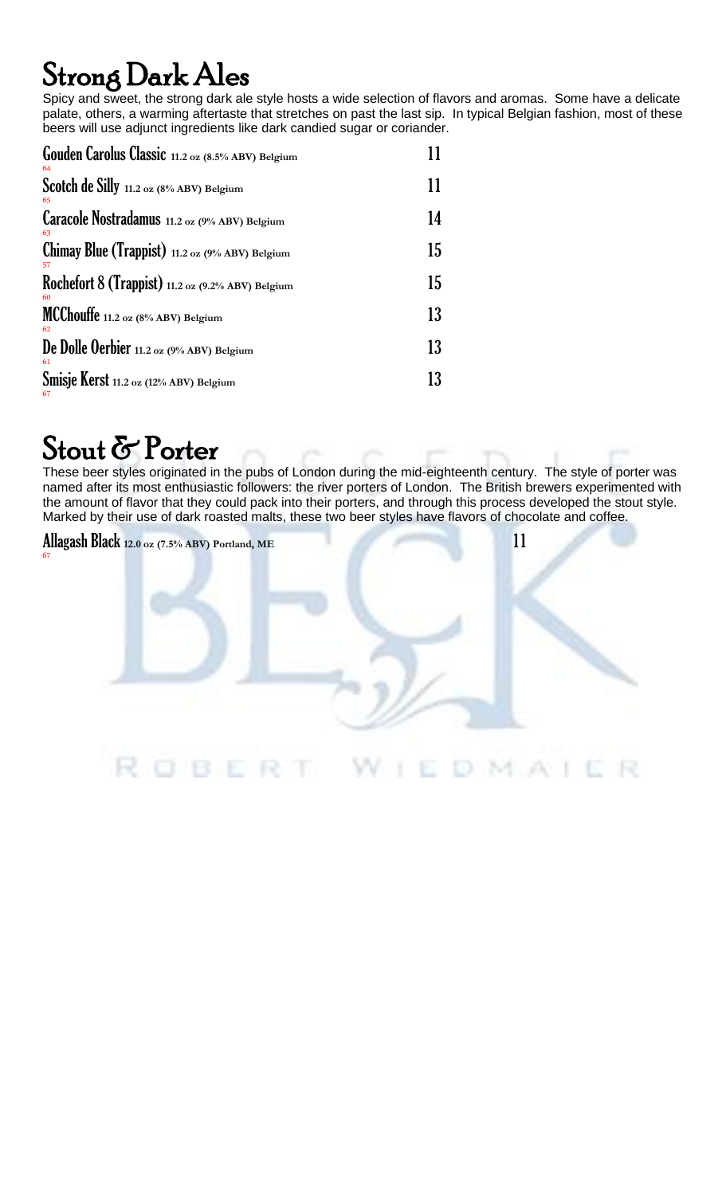## Strong Dark Ales

Spicy and sweet, the strong dark ale style hosts a wide selection of flavors and aromas. Some have a delicate palate, others, a warming aftertaste that stretches on past the last sip. In typical Belgian fashion, most of these beers will use adjunct ingredients like dark candied sugar or coriander.

| Gouden Carolus Classic 11.2 oz (8.5% ABV) Belgium<br>64   |    |
|-----------------------------------------------------------|----|
| Scotch de Silly 11.2 oz (8% ABV) Belgium<br>65            | 11 |
| Caracole Nostradamus 11.2 oz (9% ABV) Belgium<br>63       | 14 |
| Chimay Blue (Trappist) 11.2 oz (9% ABV) Belgium<br>57     | 15 |
| Rochefort $8$ (Trappist) 11.2 oz (9.2% ABV) Belgium<br>60 | 15 |
| MCChouffe 11.2 oz (8% ABV) Belgium<br>62                  | 13 |
| De Dolle Oerbier 11.2 oz (9% ABV) Belgium<br>61           | 13 |
| Smisje Kerst 11.2 oz (12% ABV) Belgium<br>67              | 13 |

### Stout & Porter

These beer styles originated in the pubs of London during the mid-eighteenth century. The style of porter was named after its most enthusiastic followers: the river porters of London. The British brewers experimented with the amount of flavor that they could pack into their porters, and through this process developed the stout style. Marked by their use of dark roasted malts, these two beer styles have flavors of chocolate and coffee.

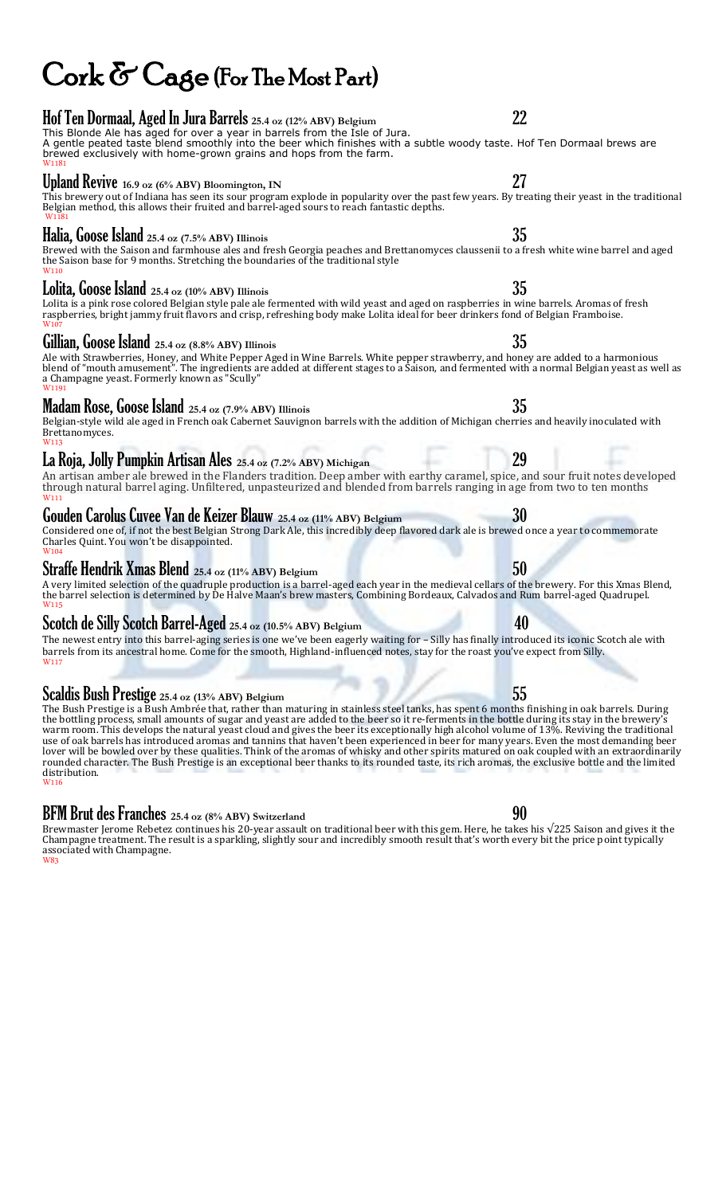## Cork & Cage (For The Most Part)

### Hof Ten Dormaal, Aged In Jura Barrels **25.4 oz (12% ABV) Belgium** 22

#### This Blonde Ale has aged for over a year in barrels from the Isle of Jura. A gentle peated taste blend smoothly into the beer which finishes with a subtle woody taste. Hof Ten Dormaal brews are brewed exclusively with home-grown grains and hops from the farm. W1181

#### Upland Revive **16.9 oz (6% ABV) Bloomington, IN** 27

This brewery out of Indiana has seen its sour program explode in popularity over the past few years. By treating their yeast in the traditional Belgian method, this allows their fruited and barrel-aged sours to reach fantastic depths. W1181

### Halia, Goose Island **25.4 oz (7.5% ABV) Illinois** 35

Brewed with the Saison and farmhouse ales and fresh Georgia peaches and Brettanomyces claussenii to a fresh white wine barrel and aged the Saison base for 9 months. Stretching the boundaries of the traditional style W110

### Lolita, Goose Island **25.4 oz (10% ABV) Illinois** 35

Lolita is a pink rose colored Belgian style pale ale fermented with wild yeast and aged on raspberries in wine barrels. Aromas of fresh raspberries, bright jammy fruit flavors and crisp, refreshing body make Lolita ideal for beer drinkers fond of Belgian Framboise. W107

### Gillian, Goose Island **25.4 oz (8.8% ABV) Illinois** 35

Ale with Strawberries, Honey, and White Pepper Aged in Wine Barrels. White pepper strawberry, and honey are added to a harmonious blend of "mouth amusement". The ingredients are added at different stages to a Saison, and fermented with a normal Belgian yeast as well as a Champagne yeast. Formerly known as "Scully" W1191

### Madam Rose, Goose Island **25.4 oz (7.9% ABV) Illinois** 35

Belgian-style wild ale aged in French oak Cabernet Sauvignon barrels with the addition of Michigan cherries and heavily inoculated with Brettanomyces. W113

#### La Roja, Jolly Pumpkin Artisan Ales **25.4 oz (7.2% ABV) Michigan** 29

An artisan amber ale brewed in the Flanders tradition. Deep amber with earthy caramel, spice, and sour fruit notes developed through natural barrel aging. Unfiltered, unpasteurized and blended from barrels ranging in age from two to ten months W111

#### GoudenCarolus Cuvee Van de Keizer Blauw **25.4 oz (11% ABV) Belgium** 30

Considered one of, if not the best Belgian Strong Dark Ale, this incredibly deep flavored dark ale is brewed once a year to commemorate Charles Quint. You won't be disappointed. W104

#### Straffe Hendrik Xmas Blend **25.4 oz (11% ABV) Belgium** 50

A very limited selection of the quadruple production is a barrel-aged each year in the medieval cellars of the brewery. For this Xmas Blend, the barrel selection is determined by De Halve Maan's brew masters, Combining Bordeaux, Calvados and Rum barrel-aged Quadrupel. W115

#### Scotch de Silly Scotch Barrel-Aged **25.4 oz (10.5% ABV) Belgium** 40

The newest entry into this barrel-aging series is one we've been eagerly waiting for – Silly has finally introduced its iconic Scotch ale with barrels from its ancestral home. Come for the smooth, Highland-influenced notes, stay for the roast you've expect from Silly. W117

#### Scaldis Bush Prestige 25.4 oz (13% ABV) Belgium 55

The Bush Prestige is a Bush Ambrée that, rather than maturing in stainless steel tanks, has spent 6 months finishing in oak barrels. During the bottling process, small amounts of sugar and yeast are added to the beer so it re-ferments in the bottle during its stay in the brewery's warm room. This develops the natural yeast cloud and gives the beer its exceptionally high alcohol volume of 13%. Reviving the traditional use of oak barrels has introduced aromas and tannins that haven't been experienced in beer for many years. Even the most demanding beer lover will be bowled over by these qualities. Think of the aromas of whisky and other spirits matured on oak coupled with an extraordinarily rounded character. The Bush Prestige is an exceptional beer thanks to its rounded taste, its rich aromas, the exclusive bottle and the limited distribution. W116

#### BFM Brut des Franches **25.4 oz (8% ABV) Switzerland** 90

Brewmaster Jerome Rebetez continues his 20-year assault on traditional beer with this gem. Here, he takes his  $\sqrt{225}$  Saison and gives it the Champagne treatment. The result is a sparkling, slightly sour and incredibly smooth result that's worth every bit the price point typically associated with Champagne. W83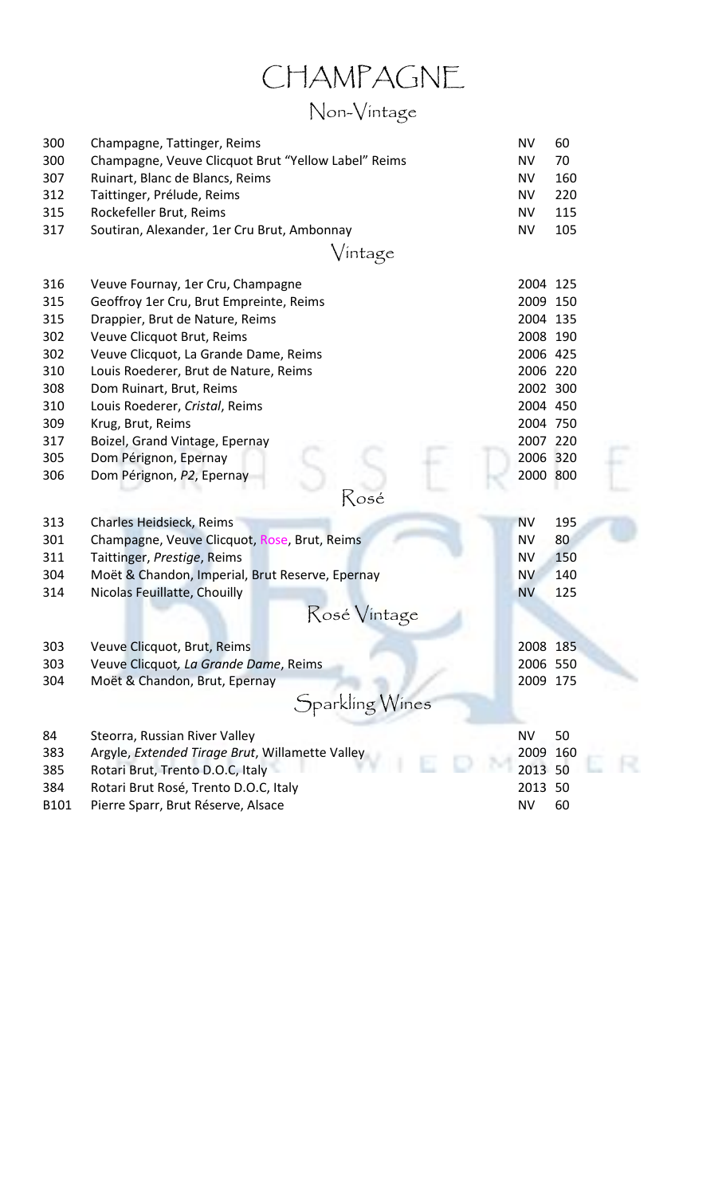### CHAMPAGNE

### Non-Vintage

| 300<br>300<br>307<br>312<br>315<br>317                                           | Champagne, Tattinger, Reims<br>Champagne, Veuve Clicquot Brut "Yellow Label" Reims<br>Ruinart, Blanc de Blancs, Reims<br>Taittinger, Prélude, Reims<br>Rockefeller Brut, Reims<br>Soutiran, Alexander, 1er Cru Brut, Ambonnay                                                                                                                                                                              | <b>NV</b><br><b>NV</b><br><b>NV</b><br><b>NV</b><br><b>NV</b><br><b>NV</b>                                                                   | 60<br>70<br>160<br>220<br>115<br>105 |
|----------------------------------------------------------------------------------|------------------------------------------------------------------------------------------------------------------------------------------------------------------------------------------------------------------------------------------------------------------------------------------------------------------------------------------------------------------------------------------------------------|----------------------------------------------------------------------------------------------------------------------------------------------|--------------------------------------|
|                                                                                  | Vintage                                                                                                                                                                                                                                                                                                                                                                                                    |                                                                                                                                              |                                      |
| 316<br>315<br>315<br>302<br>302<br>310<br>308<br>310<br>309<br>317<br>305<br>306 | Veuve Fournay, 1er Cru, Champagne<br>Geoffroy 1er Cru, Brut Empreinte, Reims<br>Drappier, Brut de Nature, Reims<br>Veuve Clicquot Brut, Reims<br>Veuve Clicquot, La Grande Dame, Reims<br>Louis Roederer, Brut de Nature, Reims<br>Dom Ruinart, Brut, Reims<br>Louis Roederer, Cristal, Reims<br>Krug, Brut, Reims<br>Boizel, Grand Vintage, Epernay<br>Dom Pérignon, Epernay<br>Dom Pérignon, P2, Epernay | 2004 125<br>2009 150<br>2004 135<br>2008 190<br>2006 425<br>2006 220<br>2002 300<br>2004 450<br>2004 750<br>2007 220<br>2006 320<br>2000 800 |                                      |
|                                                                                  | Rosé                                                                                                                                                                                                                                                                                                                                                                                                       |                                                                                                                                              |                                      |
| 313<br>301<br>311<br>304<br>314                                                  | Charles Heidsieck, Reims<br>Champagne, Veuve Clicquot, Rose, Brut, Reims<br>Taittinger, Prestige, Reims<br>Moët & Chandon, Imperial, Brut Reserve, Epernay<br>Nicolas Feuillatte, Chouilly<br>Rosé Vintage                                                                                                                                                                                                 | <b>NV</b><br><b>NV</b><br><b>NV</b><br><b>NV</b><br><b>NV</b>                                                                                | 195<br>80<br>150<br>140<br>125       |
| 303<br>303<br>304                                                                | Veuve Clicquot, Brut, Reims<br>Veuve Clicquot, La Grande Dame, Reims<br>Moët & Chandon, Brut, Epernay<br>Sparkling Wines                                                                                                                                                                                                                                                                                   | 2008 185<br>2006 550<br>2009 175                                                                                                             |                                      |
| 84<br>383<br>385<br>384<br>B101                                                  | Steorra, Russian River Valley<br>Argyle, Extended Tirage Brut, Willamette Valley<br>Rotari Brut, Trento D.O.C, Italy<br>Rotari Brut Rosé, Trento D.O.C, Italy<br>Pierre Sparr, Brut Réserve, Alsace                                                                                                                                                                                                        | <b>NV</b><br>2009 160<br>2013 50<br>2013 50<br><b>NV</b>                                                                                     | 50<br>60                             |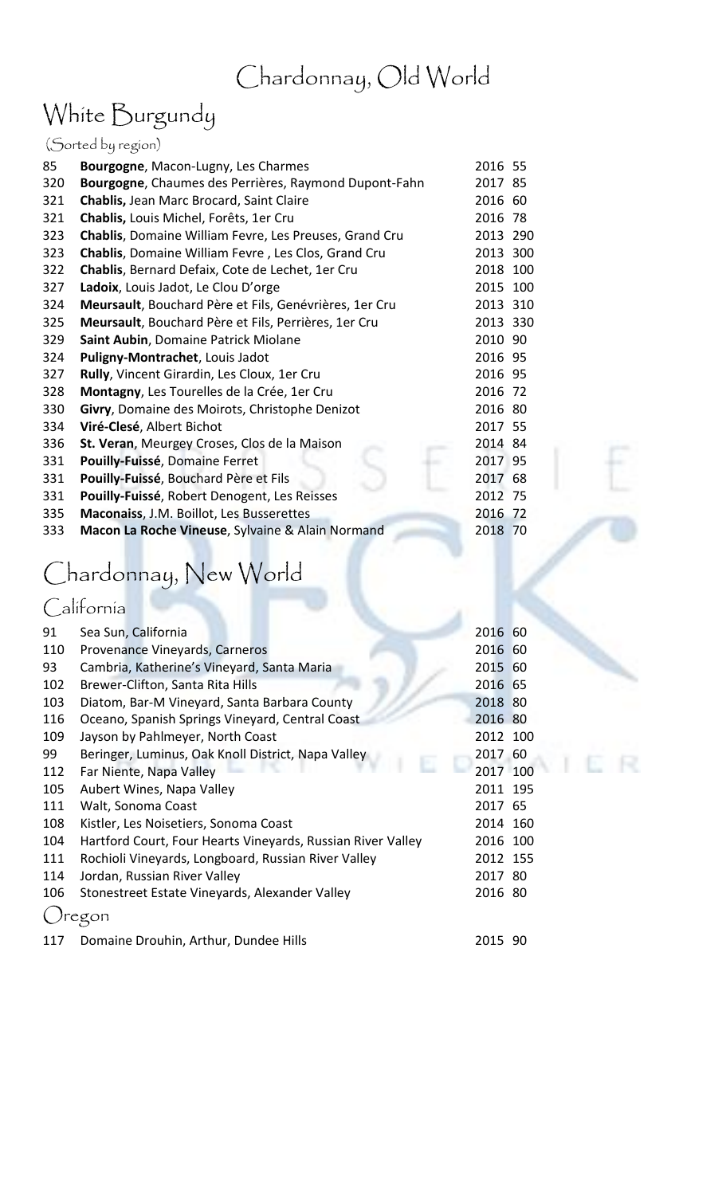### Chardonnay, Old World

### White Burgundy

|     | (Sorted by region)                                     |          |  |
|-----|--------------------------------------------------------|----------|--|
| 85  | Bourgogne, Macon-Lugny, Les Charmes                    | 2016 55  |  |
| 320 | Bourgogne, Chaumes des Perrières, Raymond Dupont-Fahn  | 2017 85  |  |
| 321 | Chablis, Jean Marc Brocard, Saint Claire               | 2016 60  |  |
| 321 | Chablis, Louis Michel, Forêts, 1er Cru                 | 2016 78  |  |
| 323 | Chablis, Domaine William Fevre, Les Preuses, Grand Cru | 2013 290 |  |
| 323 | Chablis, Domaine William Fevre, Les Clos, Grand Cru    | 2013 300 |  |
| 322 | Chablis, Bernard Defaix, Cote de Lechet, 1er Cru       | 2018 100 |  |
| 327 | Ladoix, Louis Jadot, Le Clou D'orge                    | 2015 100 |  |
| 324 | Meursault, Bouchard Père et Fils, Genévrières, 1er Cru | 2013 310 |  |
| 325 | Meursault, Bouchard Père et Fils, Perrières, 1er Cru   | 2013 330 |  |
| 329 | Saint Aubin, Domaine Patrick Miolane                   | 2010 90  |  |
| 324 | Puligny-Montrachet, Louis Jadot                        | 2016 95  |  |
| 327 | Rully, Vincent Girardin, Les Cloux, 1er Cru            | 2016 95  |  |
| 328 | Montagny, Les Tourelles de la Crée, 1er Cru            | 2016 72  |  |
| 330 | Givry, Domaine des Moirots, Christophe Denizot         | 2016 80  |  |
| 334 | Viré-Clesé, Albert Bichot                              | 2017 55  |  |
| 336 | St. Veran, Meurgey Croses, Clos de la Maison           | 2014 84  |  |
| 331 | Pouilly-Fuissé, Domaine Ferret                         | 2017 95  |  |
| 331 | Pouilly-Fuissé, Bouchard Père et Fils                  | 2017 68  |  |
| 331 | Pouilly-Fuissé, Robert Denogent, Les Reisses           | 2012 75  |  |
| 335 | Maconaiss, J.M. Boillot, Les Busserettes               | 2016 72  |  |
| 333 | Macon La Roche Vineuse, Sylvaine & Alain Normand       | 2018 70  |  |
|     |                                                        |          |  |

# Chardonnay, New World

### California

| 91  | Sea Sun, California                                             | 2016 60  |  |
|-----|-----------------------------------------------------------------|----------|--|
| 110 | Provenance Vineyards, Carneros                                  | 2016 60  |  |
| 93  | Cambria, Katherine's Vineyard, Santa Maria                      | 2015 60  |  |
| 102 | Brewer-Clifton, Santa Rita Hills                                | 2016 65  |  |
| 103 | Diatom, Bar-M Vineyard, Santa Barbara County                    | 2018 80  |  |
| 116 | Oceano, Spanish Springs Vineyard, Central Coast                 | 2016 80  |  |
| 109 | Jayson by Pahlmeyer, North Coast                                | 2012 100 |  |
| 99  | Beringer, Luminus, Oak Knoll District, Napa Valley<br><b>CO</b> | 2017 60  |  |
| 112 | Far Niente, Napa Valley                                         | 2017 100 |  |
| 105 | Aubert Wines, Napa Valley                                       | 2011 195 |  |
| 111 | Walt, Sonoma Coast                                              | 2017 65  |  |
| 108 | Kistler, Les Noisetiers, Sonoma Coast                           | 2014 160 |  |
| 104 | Hartford Court, Four Hearts Vineyards, Russian River Valley     | 2016 100 |  |
| 111 | Rochioli Vineyards, Longboard, Russian River Valley             | 2012 155 |  |
| 114 | Jordan, Russian River Valley                                    | 2017 80  |  |
| 106 | Stonestreet Estate Vineyards, Alexander Valley                  | 2016 80  |  |
|     | egon                                                            |          |  |
| 117 | Domaine Drouhin, Arthur, Dundee Hills                           | 2015 90  |  |

E R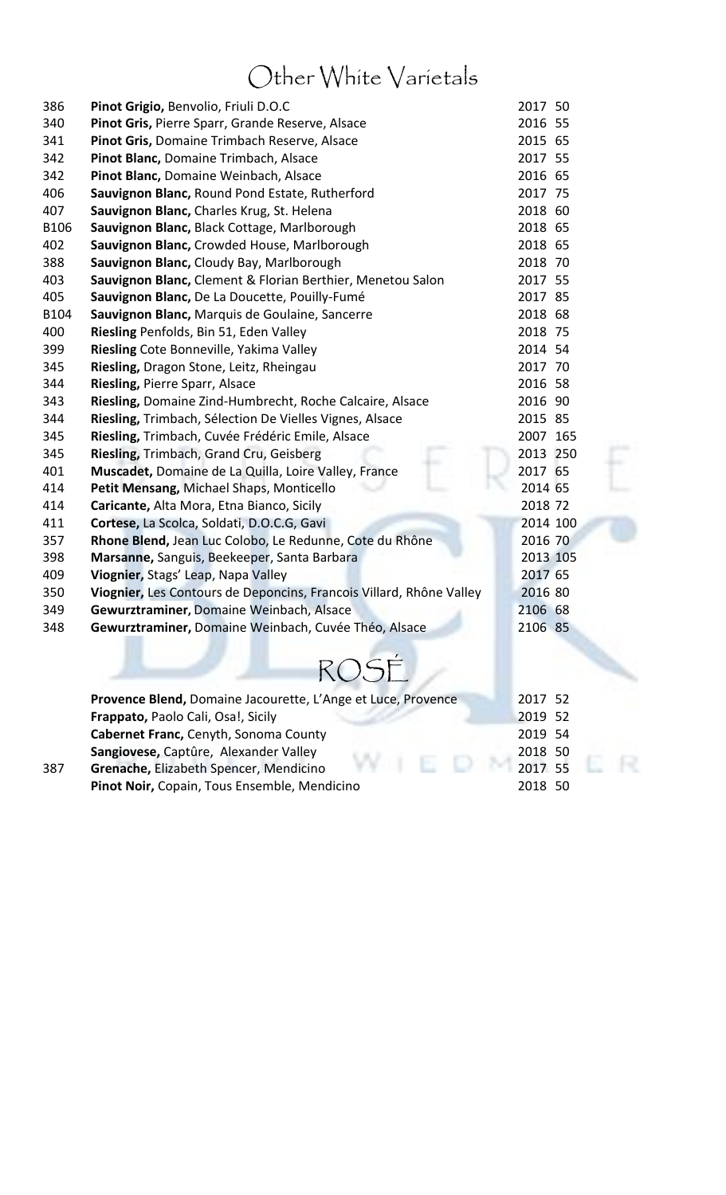### Other White Varietals

| 386  | Pinot Grigio, Benvolio, Friuli D.O.C                                | 2017 50  |  |
|------|---------------------------------------------------------------------|----------|--|
| 340  | Pinot Gris, Pierre Sparr, Grande Reserve, Alsace                    | 2016 55  |  |
| 341  | Pinot Gris, Domaine Trimbach Reserve, Alsace                        | 2015 65  |  |
| 342  | Pinot Blanc, Domaine Trimbach, Alsace                               | 2017 55  |  |
| 342  | Pinot Blanc, Domaine Weinbach, Alsace                               | 2016 65  |  |
| 406  | Sauvignon Blanc, Round Pond Estate, Rutherford                      | 2017 75  |  |
| 407  | Sauvignon Blanc, Charles Krug, St. Helena                           | 2018 60  |  |
| B106 | Sauvignon Blanc, Black Cottage, Marlborough                         | 2018 65  |  |
| 402  | Sauvignon Blanc, Crowded House, Marlborough                         | 2018 65  |  |
| 388  | Sauvignon Blanc, Cloudy Bay, Marlborough                            | 2018 70  |  |
| 403  | Sauvignon Blanc, Clement & Florian Berthier, Menetou Salon          | 2017 55  |  |
| 405  | Sauvignon Blanc, De La Doucette, Pouilly-Fumé                       | 2017 85  |  |
| B104 | Sauvignon Blanc, Marquis de Goulaine, Sancerre                      | 2018 68  |  |
| 400  | Riesling Penfolds, Bin 51, Eden Valley                              | 2018 75  |  |
| 399  | Riesling Cote Bonneville, Yakima Valley                             | 2014 54  |  |
| 345  | Riesling, Dragon Stone, Leitz, Rheingau                             | 2017 70  |  |
| 344  | Riesling, Pierre Sparr, Alsace                                      | 2016 58  |  |
| 343  | Riesling, Domaine Zind-Humbrecht, Roche Calcaire, Alsace            | 2016 90  |  |
| 344  | Riesling, Trimbach, Sélection De Vielles Vignes, Alsace             | 2015 85  |  |
| 345  | Riesling, Trimbach, Cuvée Frédéric Emile, Alsace                    | 2007 165 |  |
| 345  | Riesling, Trimbach, Grand Cru, Geisberg                             | 2013 250 |  |
| 401  | Muscadet, Domaine de La Quilla, Loire Valley, France                | 2017 65  |  |
| 414  | Petit Mensang, Michael Shaps, Monticello                            | 2014 65  |  |
| 414  | Caricante, Alta Mora, Etna Bianco, Sicily                           | 2018 72  |  |
| 411  | Cortese, La Scolca, Soldati, D.O.C.G, Gavi                          | 2014 100 |  |
| 357  | Rhone Blend, Jean Luc Colobo, Le Redunne, Cote du Rhône             | 2016 70  |  |
| 398  | Marsanne, Sanguis, Beekeeper, Santa Barbara                         | 2013 105 |  |
| 409  | Viognier, Stags' Leap, Napa Valley                                  | 2017 65  |  |
| 350  | Viognier, Les Contours de Deponcins, Francois Villard, Rhône Valley | 2016 80  |  |
| 349  | Gewurztraminer, Domaine Weinbach, Alsace                            | 2106 68  |  |
| 348  | Gewurztraminer, Domaine Weinbach, Cuvée Théo, Alsace                | 2106 85  |  |
|      |                                                                     |          |  |
|      |                                                                     |          |  |
|      | ROSÉ                                                                |          |  |
|      | Provence Blend, Domaine Jacourette, L'Ange et Luce, Provence        | 2017 52  |  |
|      | Frappato, Paolo Cali, Osa!, Sicily                                  | 2019 52  |  |
|      | Cabernet Franc, Cenyth, Sonoma County                               | 2019 54  |  |
|      | Sangiovese, Captûre, Alexander Valley                               | 2018 50  |  |
| 387  | Grenache, Elizabeth Spencer, Mendicino                              | 2017 55  |  |
|      |                                                                     |          |  |

Pinot Noir, Copain, Tous Ensemble, Mendicino 2018 50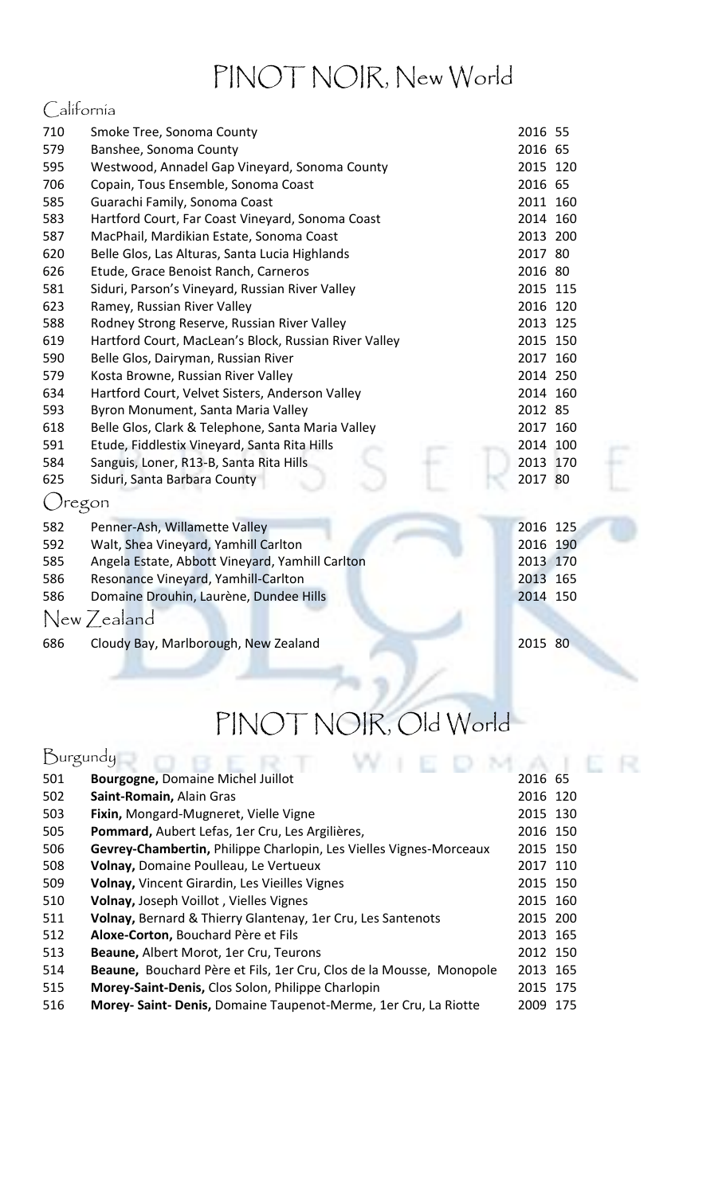### PINOT NOIR, New World

### California

| 710           | Smoke Tree, Sonoma County                             | 2016 55  |  |
|---------------|-------------------------------------------------------|----------|--|
| 579           | Banshee, Sonoma County                                | 2016 65  |  |
| 595           | Westwood, Annadel Gap Vineyard, Sonoma County         | 2015 120 |  |
| 706           | Copain, Tous Ensemble, Sonoma Coast                   | 2016 65  |  |
| 585           | Guarachi Family, Sonoma Coast                         | 2011 160 |  |
| 583           | Hartford Court, Far Coast Vineyard, Sonoma Coast      | 2014 160 |  |
| 587           | MacPhail, Mardikian Estate, Sonoma Coast              | 2013 200 |  |
| 620           | Belle Glos, Las Alturas, Santa Lucia Highlands        | 2017 80  |  |
| 626           | Etude, Grace Benoist Ranch, Carneros                  | 2016 80  |  |
| 581           | Siduri, Parson's Vineyard, Russian River Valley       | 2015 115 |  |
| 623           | Ramey, Russian River Valley                           | 2016 120 |  |
| 588           | Rodney Strong Reserve, Russian River Valley           | 2013 125 |  |
| 619           | Hartford Court, MacLean's Block, Russian River Valley | 2015 150 |  |
| 590           | Belle Glos, Dairyman, Russian River                   | 2017 160 |  |
| 579           | Kosta Browne, Russian River Valley                    | 2014 250 |  |
| 634           | Hartford Court, Velvet Sisters, Anderson Valley       | 2014 160 |  |
| 593           | Byron Monument, Santa Maria Valley                    | 2012 85  |  |
| 618           | Belle Glos, Clark & Telephone, Santa Maria Valley     | 2017 160 |  |
| 591           | Etude, Fiddlestix Vineyard, Santa Rita Hills          | 2014 100 |  |
| 584           | Sanguis, Loner, R13-B, Santa Rita Hills               | 2013 170 |  |
| 625           | Siduri, Santa Barbara County                          | 2017 80  |  |
| <i>Oregon</i> |                                                       |          |  |
| 582           | Penner-Ash, Willamette Valley                         | 2016 125 |  |
| 592           | Walt, Shea Vineyard, Yamhill Carlton                  | 2016 190 |  |
| 585           | Angela Estate, Abbott Vineyard, Yamhill Carlton       | 2013 170 |  |
| 586           | Resonance Vineyard, Yamhill-Carlton                   | 2013 165 |  |
| 586           | Domaine Drouhin, Laurène, Dundee Hills                | 2014 150 |  |
|               | New Zealand                                           |          |  |
| 686           | Cloudy Bay, Marlborough, New Zealand                  | 2015 80  |  |
|               |                                                       |          |  |

# PINOT NOIR, Old World

R

| Burgundy |                                                                     |          |     |
|----------|---------------------------------------------------------------------|----------|-----|
| 501      | <b>Bourgogne, Domaine Michel Juillot</b>                            | 2016 65  |     |
| 502      | Saint-Romain, Alain Gras                                            | 2016 120 |     |
| 503      | Fixin, Mongard-Mugneret, Vielle Vigne                               | 2015 130 |     |
| 505      | Pommard, Aubert Lefas, 1er Cru, Les Argilières,                     | 2016 150 |     |
| 506      | Gevrey-Chambertin, Philippe Charlopin, Les Vielles Vignes-Morceaux  | 2015 150 |     |
| 508      | Volnay, Domaine Poulleau, Le Vertueux                               | 2017 110 |     |
| 509      | Volnay, Vincent Girardin, Les Vieilles Vignes                       | 2015 150 |     |
| 510      | Volnay, Joseph Voillot, Vielles Vignes                              | 2015 160 |     |
| 511      | Volnay, Bernard & Thierry Glantenay, 1er Cru, Les Santenots         | 2015 200 |     |
| 512      | Aloxe-Corton, Bouchard Père et Fils                                 | 2013 165 |     |
| 513      | Beaune, Albert Morot, 1er Cru, Teurons                              | 2012 150 |     |
| 514      | Beaune, Bouchard Père et Fils, 1er Cru, Clos de la Mousse, Monopole | 2013 165 |     |
| 515      | Morey-Saint-Denis, Clos Solon, Philippe Charlopin                   | 2015 175 |     |
| 516      | Morey- Saint- Denis, Domaine Taupenot-Merme, 1er Cru, La Riotte     | 2009     | 175 |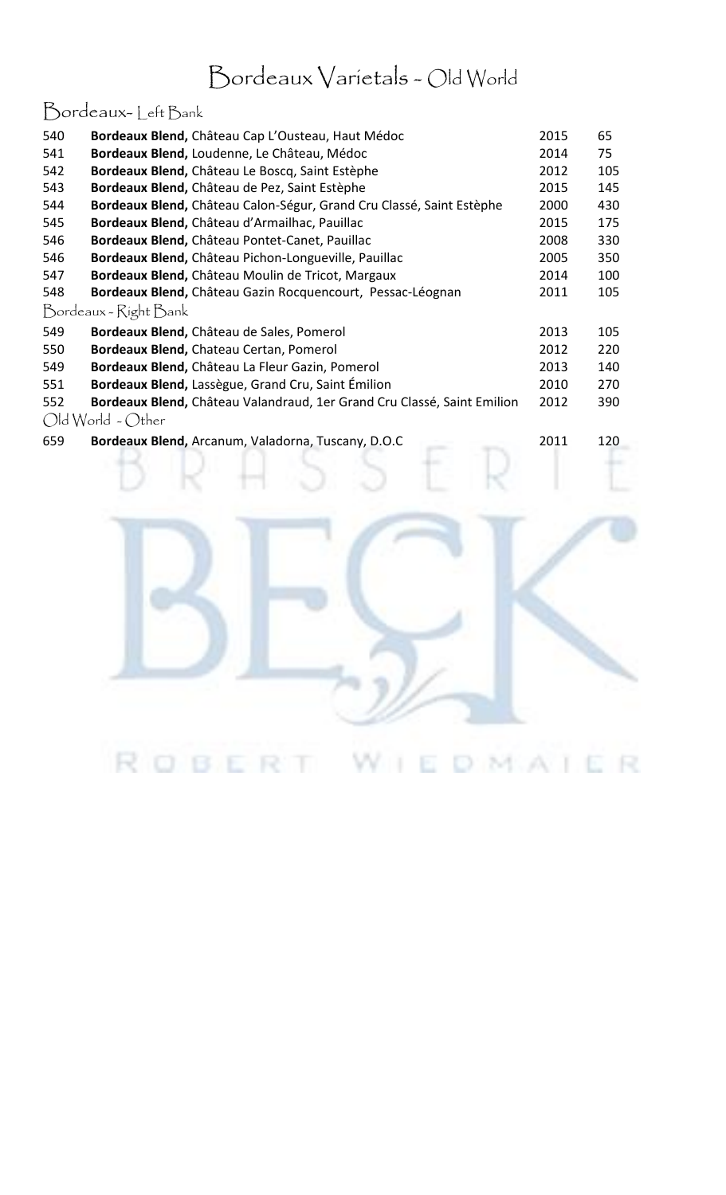### Bordeaux Varietals - Old World

### Bordeaux- Left Bank

| 540 | Bordeaux Blend, Château Cap L'Ousteau, Haut Médoc                       | 2015 | 65  |
|-----|-------------------------------------------------------------------------|------|-----|
| 541 | Bordeaux Blend, Loudenne, Le Château, Médoc                             | 2014 | 75  |
| 542 | Bordeaux Blend, Château Le Boscq, Saint Estèphe                         | 2012 | 105 |
| 543 | Bordeaux Blend, Château de Pez, Saint Estèphe                           | 2015 | 145 |
| 544 | Bordeaux Blend, Château Calon-Ségur, Grand Cru Classé, Saint Estèphe    | 2000 | 430 |
| 545 | Bordeaux Blend, Château d'Armailhac, Pauillac                           | 2015 | 175 |
| 546 | Bordeaux Blend, Château Pontet-Canet, Pauillac                          | 2008 | 330 |
| 546 | Bordeaux Blend, Château Pichon-Longueville, Pauillac                    | 2005 | 350 |
| 547 | Bordeaux Blend, Château Moulin de Tricot, Margaux                       | 2014 | 100 |
| 548 | Bordeaux Blend, Château Gazin Rocquencourt, Pessac-Léognan              | 2011 | 105 |
|     | Bordeaux - Right Bank                                                   |      |     |
| 549 | Bordeaux Blend, Château de Sales, Pomerol                               | 2013 | 105 |
| 550 | Bordeaux Blend, Chateau Certan, Pomerol                                 | 2012 | 220 |
| 549 | Bordeaux Blend, Château La Fleur Gazin, Pomerol                         | 2013 | 140 |
| 551 | Bordeaux Blend, Lassègue, Grand Cru, Saint Émilion                      | 2010 | 270 |
| 552 | Bordeaux Blend, Château Valandraud, 1er Grand Cru Classé, Saint Emilion | 2012 | 390 |
|     | $Old World - Other$                                                     |      |     |
|     |                                                                         |      |     |

**Bordeaux Blend,** Arcanum, Valadorna, Tuscany, D.O.C 2011 120

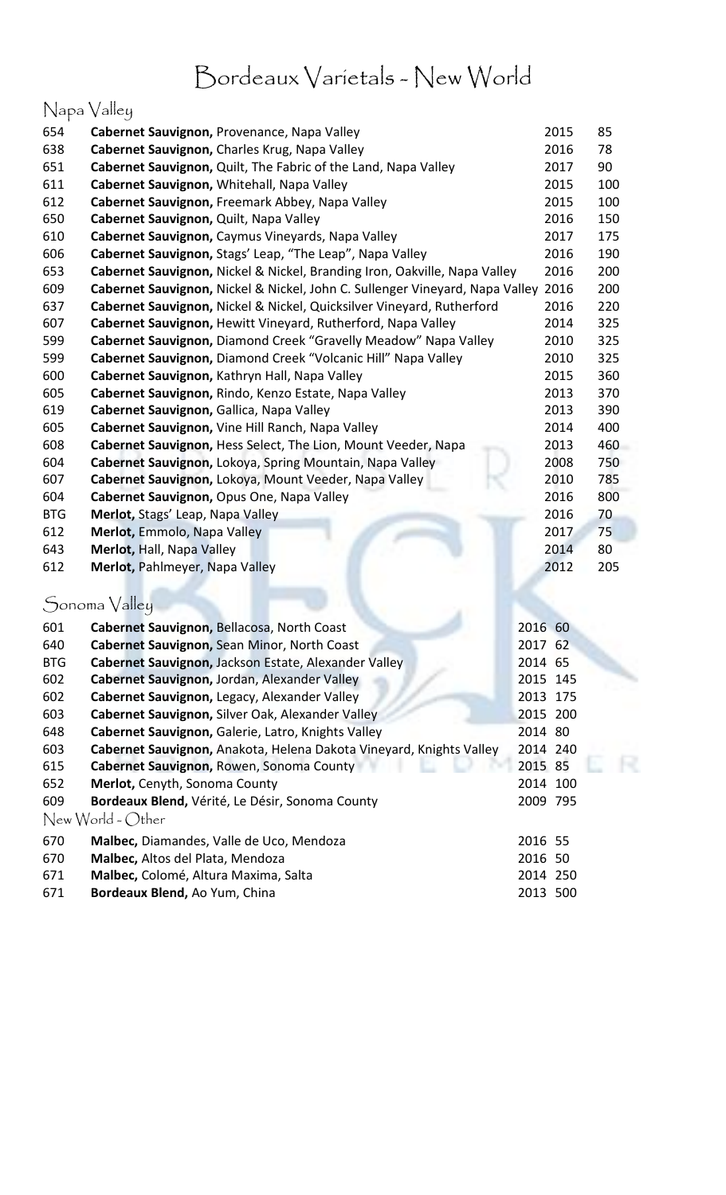### Bordeaux Varietals - New World

### Napa Valley

| 654        | Cabernet Sauvignon, Provenance, Napa Valley              |                                                                              | 2015     | 85  |
|------------|----------------------------------------------------------|------------------------------------------------------------------------------|----------|-----|
| 638        | Cabernet Sauvignon, Charles Krug, Napa Valley            |                                                                              | 2016     | 78  |
| 651        |                                                          | Cabernet Sauvignon, Quilt, The Fabric of the Land, Napa Valley               | 2017     | 90  |
| 611        | Cabernet Sauvignon, Whitehall, Napa Valley               |                                                                              | 2015     | 100 |
| 612        | Cabernet Sauvignon, Freemark Abbey, Napa Valley          |                                                                              | 2015     | 100 |
| 650        | Cabernet Sauvignon, Quilt, Napa Valley                   |                                                                              | 2016     | 150 |
| 610        | Cabernet Sauvignon, Caymus Vineyards, Napa Valley        |                                                                              | 2017     | 175 |
| 606        | Cabernet Sauvignon, Stags' Leap, "The Leap", Napa Valley |                                                                              | 2016     | 190 |
| 653        |                                                          | Cabernet Sauvignon, Nickel & Nickel, Branding Iron, Oakville, Napa Valley    | 2016     | 200 |
| 609        |                                                          | Cabernet Sauvignon, Nickel & Nickel, John C. Sullenger Vineyard, Napa Valley | 2016     | 200 |
| 637        |                                                          | Cabernet Sauvignon, Nickel & Nickel, Quicksilver Vineyard, Rutherford        | 2016     | 220 |
| 607        |                                                          | Cabernet Sauvignon, Hewitt Vineyard, Rutherford, Napa Valley                 | 2014     | 325 |
| 599        |                                                          | Cabernet Sauvignon, Diamond Creek "Gravelly Meadow" Napa Valley              | 2010     | 325 |
| 599        |                                                          | Cabernet Sauvignon, Diamond Creek "Volcanic Hill" Napa Valley                | 2010     | 325 |
| 600        | Cabernet Sauvignon, Kathryn Hall, Napa Valley            |                                                                              | 2015     | 360 |
| 605        | Cabernet Sauvignon, Rindo, Kenzo Estate, Napa Valley     |                                                                              | 2013     | 370 |
| 619        | Cabernet Sauvignon, Gallica, Napa Valley                 |                                                                              | 2013     | 390 |
| 605        | Cabernet Sauvignon, Vine Hill Ranch, Napa Valley         |                                                                              | 2014     | 400 |
| 608        |                                                          | Cabernet Sauvignon, Hess Select, The Lion, Mount Veeder, Napa                | 2013     | 460 |
| 604        |                                                          | Cabernet Sauvignon, Lokoya, Spring Mountain, Napa Valley                     | 2008     | 750 |
| 607        | Cabernet Sauvignon, Lokoya, Mount Veeder, Napa Valley    |                                                                              | 2010     | 785 |
| 604        | Cabernet Sauvignon, Opus One, Napa Valley                |                                                                              | 2016     | 800 |
| <b>BTG</b> | Merlot, Stags' Leap, Napa Valley                         |                                                                              | 2016     | 70  |
| 612        | Merlot, Emmolo, Napa Valley                              |                                                                              | 2017     | 75  |
| 643        | Merlot, Hall, Napa Valley                                |                                                                              | 2014     | 80  |
| 612        | Merlot, Pahlmeyer, Napa Valley                           |                                                                              | 2012     | 205 |
|            |                                                          |                                                                              |          |     |
|            | Sonoma Valley                                            |                                                                              |          |     |
| 601        | Cabernet Sauvignon, Bellacosa, North Coast               |                                                                              | 2016 60  |     |
| 640        | Cabernet Sauvignon, Sean Minor, North Coast              |                                                                              | 2017 62  |     |
| <b>BTG</b> | Cabernet Sauvignon, Jackson Estate, Alexander Valley     |                                                                              | 2014 65  |     |
| 602        | Cabernet Sauvignon, Jordan, Alexander Valley             |                                                                              | 2015 145 |     |
| 602        | Cabernet Sauvignon, Legacy, Alexander Valley             |                                                                              | 2013 175 |     |
| 603        | Cabernet Sauvignon, Silver Oak, Alexander Valley         |                                                                              | 2015 200 |     |
| 648        | Cabernet Sauvignon, Galerie, Latro, Knights Valley       |                                                                              | 2014 80  |     |
| 603        |                                                          | Cabernet Sauvignon, Anakota, Helena Dakota Vineyard, Knights Valley          | 2014 240 |     |
| 615        | Cabernet Sauvignon, Rowen, Sonoma County                 |                                                                              | 2015 85  |     |
| 652        | Merlot, Cenyth, Sonoma County                            |                                                                              | 2014 100 |     |
| 609        | Bordeaux Blend, Vérité, Le Désir, Sonoma County          |                                                                              | 2009 795 |     |
|            | New World - Other                                        |                                                                              |          |     |
| 670        | Malbec, Diamandes, Valle de Uco, Mendoza                 |                                                                              | 2016 55  |     |
| 670        | Malbec, Altos del Plata, Mendoza                         |                                                                              | 2016 50  |     |
| 671        | Malbec, Colomé, Altura Maxima, Salta                     |                                                                              | 2014 250 |     |
| 671        | Bordeaux Blend, Ao Yum, China                            |                                                                              | 2013 500 |     |